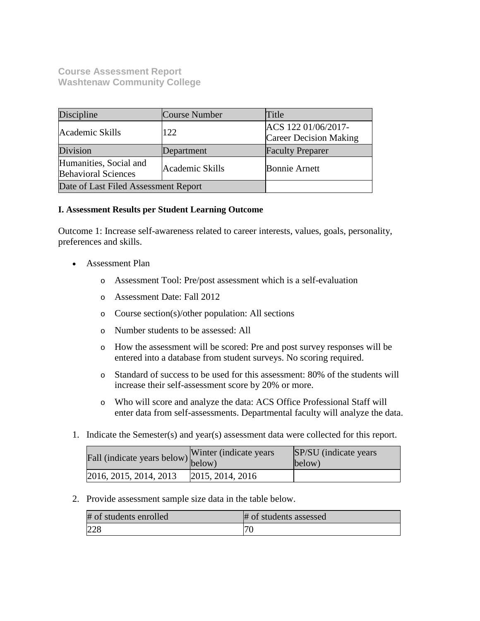**Course Assessment Report Washtenaw Community College**

| Discipline                                                              | Course Number | Title                                                |
|-------------------------------------------------------------------------|---------------|------------------------------------------------------|
| Academic Skills                                                         | 122           | ACS 122 01/06/2017-<br><b>Career Decision Making</b> |
| Division                                                                | Department    | <b>Faculty Preparer</b>                              |
| Humanities, Social and<br>Academic Skills<br><b>Behavioral Sciences</b> |               | <b>Bonnie Arnett</b>                                 |
| Date of Last Filed Assessment Report                                    |               |                                                      |

## **I. Assessment Results per Student Learning Outcome**

Outcome 1: Increase self-awareness related to career interests, values, goals, personality, preferences and skills.

- Assessment Plan
	- o Assessment Tool: Pre/post assessment which is a self-evaluation
	- o Assessment Date: Fall 2012
	- o Course section(s)/other population: All sections
	- o Number students to be assessed: All
	- o How the assessment will be scored: Pre and post survey responses will be entered into a database from student surveys. No scoring required.
	- o Standard of success to be used for this assessment: 80% of the students will increase their self-assessment score by 20% or more.
	- o Who will score and analyze the data: ACS Office Professional Staff will enter data from self-assessments. Departmental faculty will analyze the data.
- 1. Indicate the Semester(s) and year(s) assessment data were collected for this report.

| rall (indicate years below) below) | Winter (indicate years) | SP/SU (indicate years)<br>below) |
|------------------------------------|-------------------------|----------------------------------|
| 2016, 2015, 2014, 2013             | 2015, 2014, 2016        |                                  |

2. Provide assessment sample size data in the table below.

| # of students enrolled | # of students assessed |
|------------------------|------------------------|
| 228                    | $\mathcal{L}$          |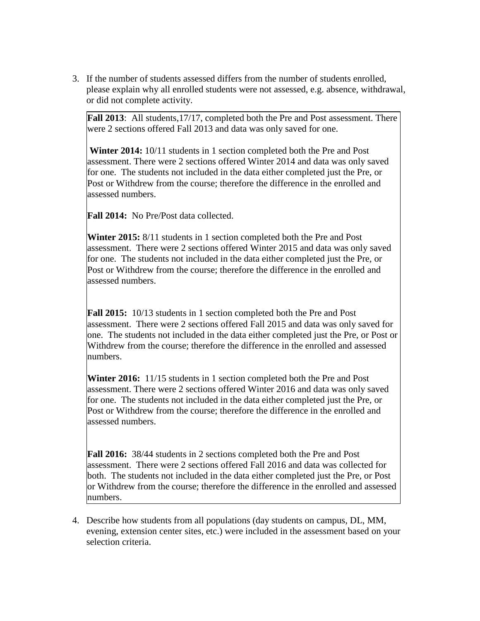3. If the number of students assessed differs from the number of students enrolled, please explain why all enrolled students were not assessed, e.g. absence, withdrawal, or did not complete activity.

**Fall 2013**: All students, 17/17, completed both the Pre and Post assessment. There were 2 sections offered Fall 2013 and data was only saved for one.

**Winter 2014:** 10/11 students in 1 section completed both the Pre and Post assessment. There were 2 sections offered Winter 2014 and data was only saved for one. The students not included in the data either completed just the Pre, or Post or Withdrew from the course; therefore the difference in the enrolled and assessed numbers.

**Fall 2014:** No Pre/Post data collected.

**Winter 2015:** 8/11 students in 1 section completed both the Pre and Post assessment. There were 2 sections offered Winter 2015 and data was only saved for one. The students not included in the data either completed just the Pre, or Post or Withdrew from the course; therefore the difference in the enrolled and assessed numbers.

**Fall 2015:** 10/13 students in 1 section completed both the Pre and Post assessment. There were 2 sections offered Fall 2015 and data was only saved for one. The students not included in the data either completed just the Pre, or Post or Withdrew from the course; therefore the difference in the enrolled and assessed numbers.

**Winter 2016:** 11/15 students in 1 section completed both the Pre and Post assessment. There were 2 sections offered Winter 2016 and data was only saved for one. The students not included in the data either completed just the Pre, or Post or Withdrew from the course; therefore the difference in the enrolled and assessed numbers.

**Fall 2016:** 38/44 students in 2 sections completed both the Pre and Post assessment. There were 2 sections offered Fall 2016 and data was collected for both. The students not included in the data either completed just the Pre, or Post or Withdrew from the course; therefore the difference in the enrolled and assessed numbers.

4. Describe how students from all populations (day students on campus, DL, MM, evening, extension center sites, etc.) were included in the assessment based on your selection criteria.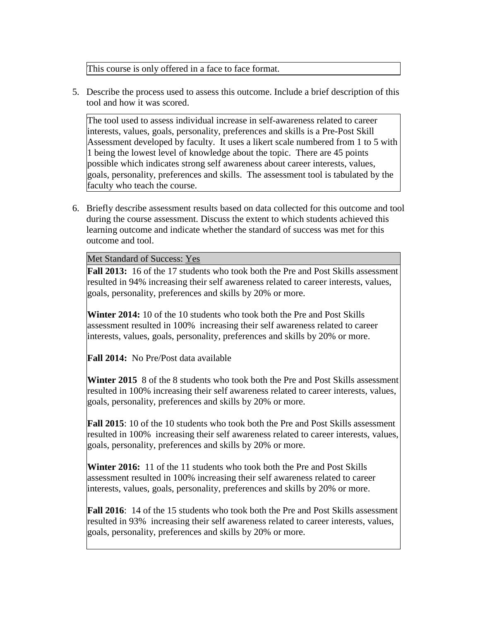This course is only offered in a face to face format.

5. Describe the process used to assess this outcome. Include a brief description of this tool and how it was scored.

The tool used to assess individual increase in self-awareness related to career interests, values, goals, personality, preferences and skills is a Pre-Post Skill Assessment developed by faculty. It uses a likert scale numbered from 1 to 5 with 1 being the lowest level of knowledge about the topic. There are 45 points possible which indicates strong self awareness about career interests, values, goals, personality, preferences and skills. The assessment tool is tabulated by the faculty who teach the course.

6. Briefly describe assessment results based on data collected for this outcome and tool during the course assessment. Discuss the extent to which students achieved this learning outcome and indicate whether the standard of success was met for this outcome and tool.

Met Standard of Success: Yes

**Fall 2013:** 16 of the 17 students who took both the Pre and Post Skills assessment resulted in 94% increasing their self awareness related to career interests, values, goals, personality, preferences and skills by 20% or more.

**Winter 2014:** 10 of the 10 students who took both the Pre and Post Skills assessment resulted in 100% increasing their self awareness related to career interests, values, goals, personality, preferences and skills by 20% or more.

**Fall 2014:** No Pre/Post data available

**Winter 2015** 8 of the 8 students who took both the Pre and Post Skills assessment resulted in 100% increasing their self awareness related to career interests, values, goals, personality, preferences and skills by 20% or more.

**Fall 2015**: 10 of the 10 students who took both the Pre and Post Skills assessment resulted in 100% increasing their self awareness related to career interests, values, goals, personality, preferences and skills by 20% or more.

**Winter 2016:** 11 of the 11 students who took both the Pre and Post Skills assessment resulted in 100% increasing their self awareness related to career interests, values, goals, personality, preferences and skills by 20% or more.

**Fall 2016**: 14 of the 15 students who took both the Pre and Post Skills assessment resulted in 93% increasing their self awareness related to career interests, values, goals, personality, preferences and skills by 20% or more.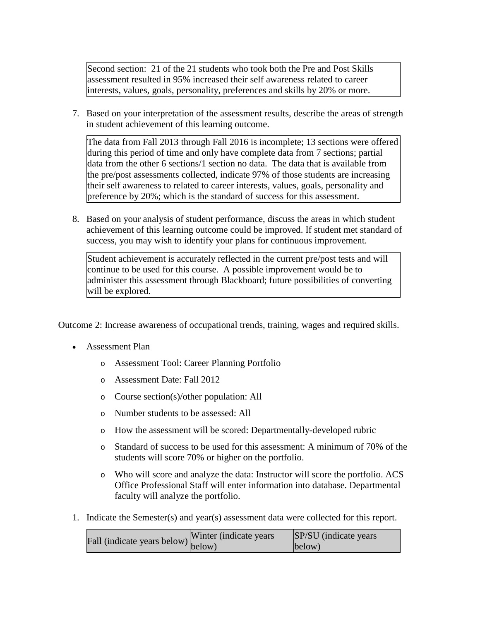Second section: 21 of the 21 students who took both the Pre and Post Skills assessment resulted in 95% increased their self awareness related to career interests, values, goals, personality, preferences and skills by 20% or more.

7. Based on your interpretation of the assessment results, describe the areas of strength in student achievement of this learning outcome.

The data from Fall 2013 through Fall 2016 is incomplete; 13 sections were offered during this period of time and only have complete data from 7 sections; partial data from the other 6 sections/1 section no data. The data that is available from the pre/post assessments collected, indicate 97% of those students are increasing their self awareness to related to career interests, values, goals, personality and preference by 20%; which is the standard of success for this assessment.

8. Based on your analysis of student performance, discuss the areas in which student achievement of this learning outcome could be improved. If student met standard of success, you may wish to identify your plans for continuous improvement.

Student achievement is accurately reflected in the current pre/post tests and will continue to be used for this course. A possible improvement would be to administer this assessment through Blackboard; future possibilities of converting will be explored.

Outcome 2: Increase awareness of occupational trends, training, wages and required skills.

- Assessment Plan
	- o Assessment Tool: Career Planning Portfolio
	- o Assessment Date: Fall 2012
	- o Course section(s)/other population: All
	- o Number students to be assessed: All
	- o How the assessment will be scored: Departmentally-developed rubric
	- o Standard of success to be used for this assessment: A minimum of 70% of the students will score 70% or higher on the portfolio.
	- o Who will score and analyze the data: Instructor will score the portfolio. ACS Office Professional Staff will enter information into database. Departmental faculty will analyze the portfolio.
- 1. Indicate the Semester(s) and year(s) assessment data were collected for this report.

| $\text{unit}$ (indicate years below) Winter (indicate years | SP/SU (indicate years) |
|-------------------------------------------------------------|------------------------|
|                                                             | below)                 |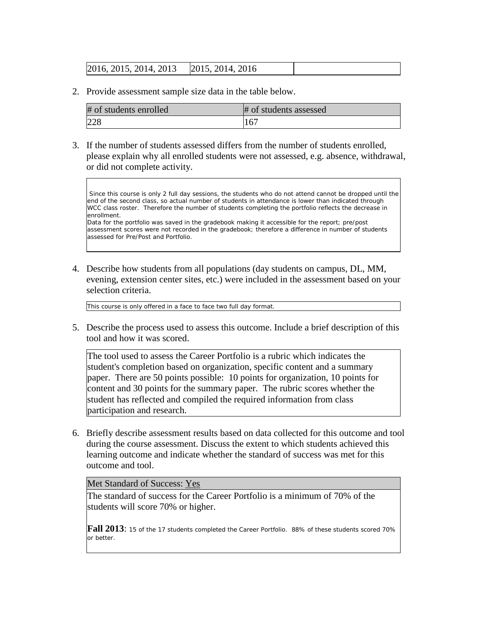# 2016, 2015, 2014, 2013 2015, 2014, 2016

2. Provide assessment sample size data in the table below.

| # of students enrolled | # of students assessed |
|------------------------|------------------------|
| 228                    | 167                    |

3. If the number of students assessed differs from the number of students enrolled, please explain why all enrolled students were not assessed, e.g. absence, withdrawal, or did not complete activity.

Since this course is only 2 full day sessions, the students who do not attend cannot be dropped until the end of the second class, so actual number of students in attendance is lower than indicated through WCC class roster. Therefore the number of students completing the portfolio reflects the decrease in enrollment.

Data for the portfolio was saved in the gradebook making it accessible for the report; pre/post assessment scores were not recorded in the gradebook; therefore a difference in number of students assessed for Pre/Post and Portfolio.

4. Describe how students from all populations (day students on campus, DL, MM, evening, extension center sites, etc.) were included in the assessment based on your selection criteria.

This course is only offered in a face to face two full day format.

5. Describe the process used to assess this outcome. Include a brief description of this tool and how it was scored.

The tool used to assess the Career Portfolio is a rubric which indicates the student's completion based on organization, specific content and a summary paper. There are 50 points possible: 10 points for organization, 10 points for content and 30 points for the summary paper. The rubric scores whether the student has reflected and compiled the required information from class participation and research.

6. Briefly describe assessment results based on data collected for this outcome and tool during the course assessment. Discuss the extent to which students achieved this learning outcome and indicate whether the standard of success was met for this outcome and tool.

#### Met Standard of Success: Yes

The standard of success for the Career Portfolio is a minimum of 70% of the students will score 70% or higher.

**Fall 2013**: 15 of the 17 students completed the Career Portfolio. 88% of these students scored 70% or better.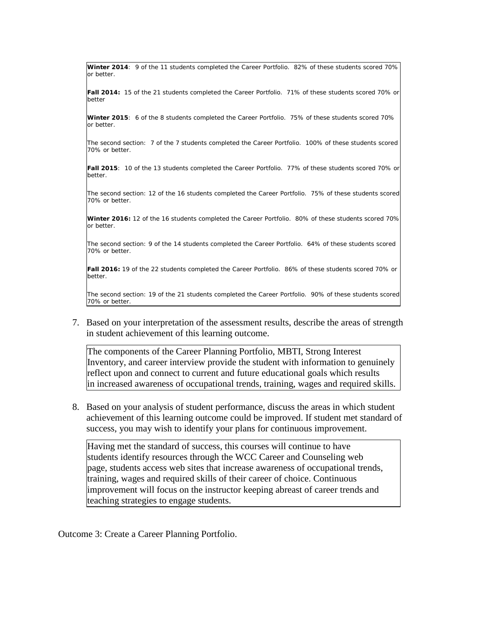**Winter 2014**: 9 of the 11 students completed the Career Portfolio. 82% of these students scored 70% or better.

**Fall 2014:** 15 of the 21 students completed the Career Portfolio. 71% of these students scored 70% or better

**Winter 2015**: 6 of the 8 students completed the Career Portfolio. 75% of these students scored 70% or better.

The second section: 7 of the 7 students completed the Career Portfolio. 100% of these students scored 70% or better.

**Fall 2015**: 10 of the 13 students completed the Career Portfolio. 77% of these students scored 70% or better.

The second section: 12 of the 16 students completed the Career Portfolio. 75% of these students scored 70% or better.

**Winter 2016:** 12 of the 16 students completed the Career Portfolio. 80% of these students scored 70% or better.

The second section: 9 of the 14 students completed the Career Portfolio. 64% of these students scored 70% or better.

**Fall 2016:** 19 of the 22 students completed the Career Portfolio. 86% of these students scored 70% or better.

The second section: 19 of the 21 students completed the Career Portfolio. 90% of these students scored 70% or better.

7. Based on your interpretation of the assessment results, describe the areas of strength in student achievement of this learning outcome.

The components of the Career Planning Portfolio, MBTI, Strong Interest Inventory, and career interview provide the student with information to genuinely reflect upon and connect to current and future educational goals which results in increased awareness of occupational trends, training, wages and required skills.

8. Based on your analysis of student performance, discuss the areas in which student achievement of this learning outcome could be improved. If student met standard of success, you may wish to identify your plans for continuous improvement.

Having met the standard of success, this courses will continue to have students identify resources through the WCC Career and Counseling web page, students access web sites that increase awareness of occupational trends, training, wages and required skills of their career of choice. Continuous improvement will focus on the instructor keeping abreast of career trends and teaching strategies to engage students.

Outcome 3: Create a Career Planning Portfolio.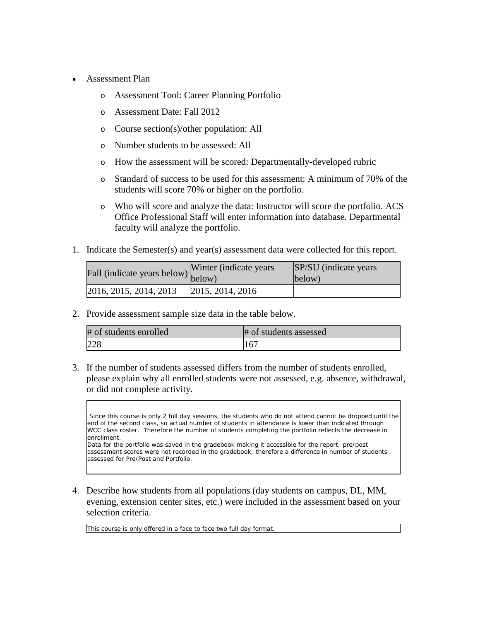- Assessment Plan
	- o Assessment Tool: Career Planning Portfolio
	- o Assessment Date: Fall 2012
	- o Course section(s)/other population: All
	- o Number students to be assessed: All
	- o How the assessment will be scored: Departmentally-developed rubric
	- o Standard of success to be used for this assessment: A minimum of 70% of the students will score 70% or higher on the portfolio.
	- o Who will score and analyze the data: Instructor will score the portfolio. ACS Office Professional Staff will enter information into database. Departmental faculty will analyze the portfolio.
- 1. Indicate the Semester(s) and year(s) assessment data were collected for this report.

| Fall (indicate years below) | Winter (indicate years) | SP/SU (indicate years)<br>below) |
|-----------------------------|-------------------------|----------------------------------|
| 2016, 2015, 2014, 2013      | [2015, 2014, 2016]      |                                  |

2. Provide assessment sample size data in the table below.

| # of students enrolled | # of students assessed |
|------------------------|------------------------|
| 228                    | 167                    |

3. If the number of students assessed differs from the number of students enrolled, please explain why all enrolled students were not assessed, e.g. absence, withdrawal, or did not complete activity.

Since this course is only 2 full day sessions, the students who do not attend cannot be dropped until the end of the second class, so actual number of students in attendance is lower than indicated through WCC class roster. Therefore the number of students completing the portfolio reflects the decrease in enrollment.

Data for the portfolio was saved in the gradebook making it accessible for the report; pre/post assessment scores were not recorded in the gradebook; therefore a difference in number of students assessed for Pre/Post and Portfolio.

4. Describe how students from all populations (day students on campus, DL, MM, evening, extension center sites, etc.) were included in the assessment based on your selection criteria.

This course is only offered in a face to face two full day format.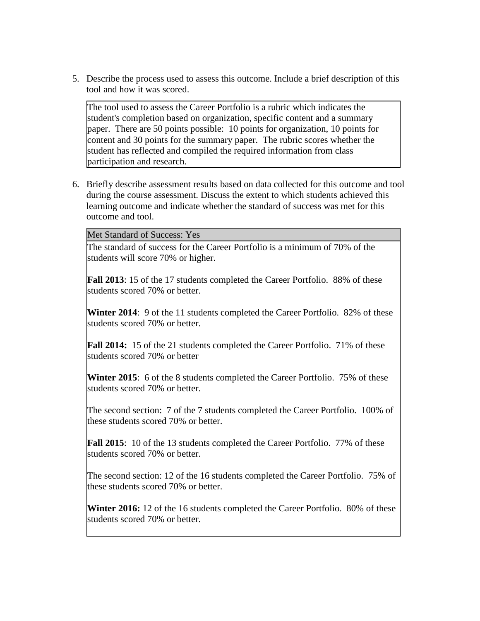5. Describe the process used to assess this outcome. Include a brief description of this tool and how it was scored.

The tool used to assess the Career Portfolio is a rubric which indicates the student's completion based on organization, specific content and a summary paper. There are 50 points possible: 10 points for organization, 10 points for content and 30 points for the summary paper. The rubric scores whether the student has reflected and compiled the required information from class participation and research.

6. Briefly describe assessment results based on data collected for this outcome and tool during the course assessment. Discuss the extent to which students achieved this learning outcome and indicate whether the standard of success was met for this outcome and tool.

Met Standard of Success: Yes

The standard of success for the Career Portfolio is a minimum of 70% of the students will score 70% or higher.

**Fall 2013**: 15 of the 17 students completed the Career Portfolio. 88% of these students scored 70% or better.

**Winter 2014**: 9 of the 11 students completed the Career Portfolio. 82% of these students scored 70% or better.

**Fall 2014:** 15 of the 21 students completed the Career Portfolio. 71% of these students scored 70% or better

**Winter 2015**: 6 of the 8 students completed the Career Portfolio. 75% of these students scored 70% or better.

The second section: 7 of the 7 students completed the Career Portfolio. 100% of these students scored 70% or better.

**Fall 2015**: 10 of the 13 students completed the Career Portfolio. 77% of these students scored 70% or better.

The second section: 12 of the 16 students completed the Career Portfolio. 75% of these students scored 70% or better.

**Winter 2016:** 12 of the 16 students completed the Career Portfolio. 80% of these students scored 70% or better.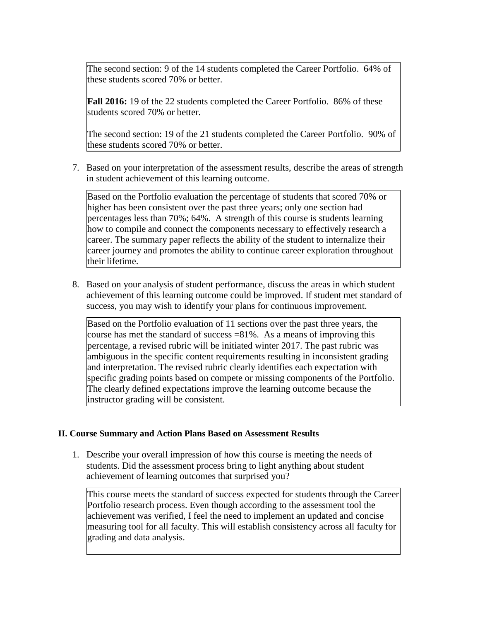The second section: 9 of the 14 students completed the Career Portfolio. 64% of these students scored 70% or better.

**Fall 2016:** 19 of the 22 students completed the Career Portfolio. 86% of these students scored 70% or better.

The second section: 19 of the 21 students completed the Career Portfolio. 90% of these students scored 70% or better.

7. Based on your interpretation of the assessment results, describe the areas of strength in student achievement of this learning outcome.

Based on the Portfolio evaluation the percentage of students that scored 70% or higher has been consistent over the past three years; only one section had percentages less than 70%; 64%. A strength of this course is students learning how to compile and connect the components necessary to effectively research a career. The summary paper reflects the ability of the student to internalize their career journey and promotes the ability to continue career exploration throughout their lifetime.

8. Based on your analysis of student performance, discuss the areas in which student achievement of this learning outcome could be improved. If student met standard of success, you may wish to identify your plans for continuous improvement.

Based on the Portfolio evaluation of 11 sections over the past three years, the course has met the standard of success  $=81\%$ . As a means of improving this percentage, a revised rubric will be initiated winter 2017. The past rubric was ambiguous in the specific content requirements resulting in inconsistent grading and interpretation. The revised rubric clearly identifies each expectation with specific grading points based on compete or missing components of the Portfolio. The clearly defined expectations improve the learning outcome because the instructor grading will be consistent.

## **II. Course Summary and Action Plans Based on Assessment Results**

1. Describe your overall impression of how this course is meeting the needs of students. Did the assessment process bring to light anything about student achievement of learning outcomes that surprised you?

This course meets the standard of success expected for students through the Career Portfolio research process. Even though according to the assessment tool the achievement was verified, I feel the need to implement an updated and concise measuring tool for all faculty. This will establish consistency across all faculty for grading and data analysis.